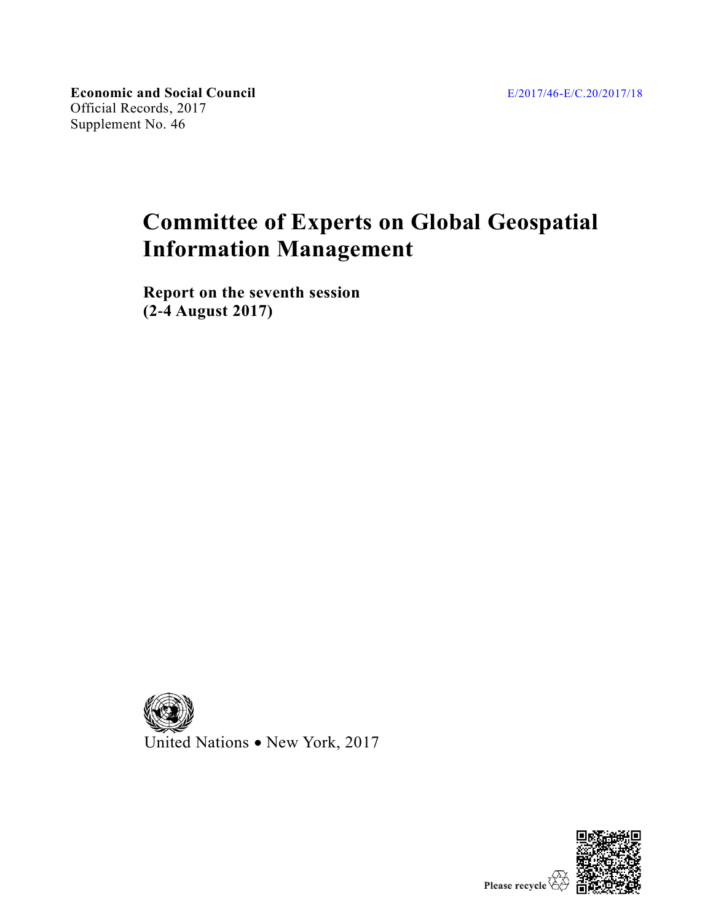**Economic and Social Council** Official Records, 2017 Supplement No. 46

# **Committee of Experts on Global Geospatial Information Management**

**Report on the seventh session (2-4 August 2017)**



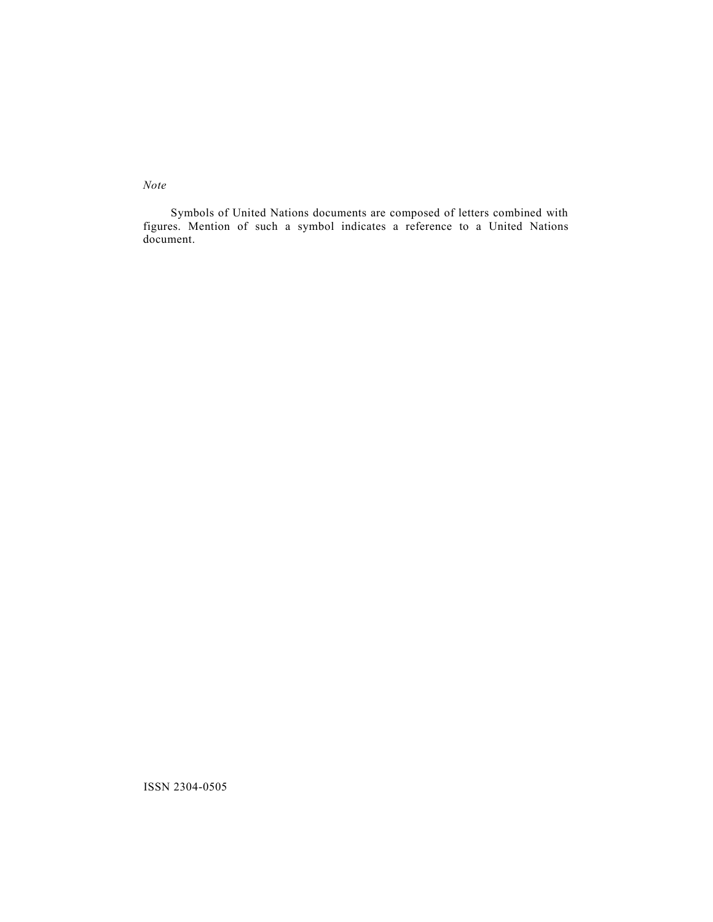*Note*

Symbols of United Nations documents are composed of letters combined with figures. Mention of such a symbol indicates a reference to a United Nations document.

ISSN 2304-0505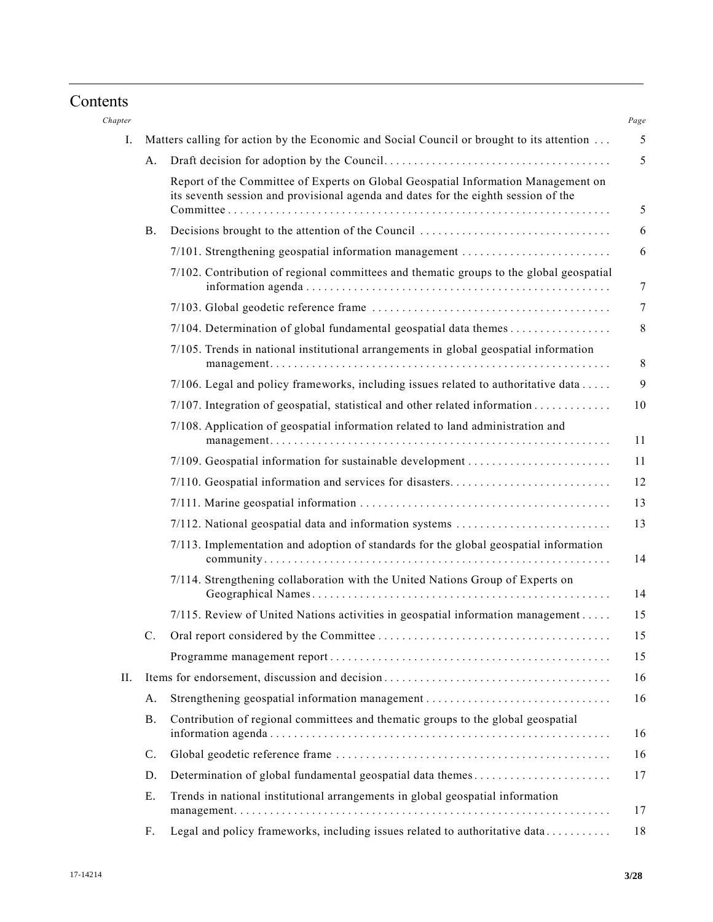# Contents

| Chapter |                |                                                                                                                                                                         |
|---------|----------------|-------------------------------------------------------------------------------------------------------------------------------------------------------------------------|
| Ι.      |                | Matters calling for action by the Economic and Social Council or brought to its attention                                                                               |
|         | A.             |                                                                                                                                                                         |
|         |                | Report of the Committee of Experts on Global Geospatial Information Management on<br>its seventh session and provisional agenda and dates for the eighth session of the |
|         | <b>B.</b>      |                                                                                                                                                                         |
|         |                | 7/101. Strengthening geospatial information management                                                                                                                  |
|         |                | 7/102. Contribution of regional committees and thematic groups to the global geospatial                                                                                 |
|         |                |                                                                                                                                                                         |
|         |                | 7/104. Determination of global fundamental geospatial data themes                                                                                                       |
|         |                | 7/105. Trends in national institutional arrangements in global geospatial information                                                                                   |
|         |                | 7/106. Legal and policy frameworks, including issues related to authoritative data                                                                                      |
|         |                |                                                                                                                                                                         |
|         |                | 7/108. Application of geospatial information related to land administration and                                                                                         |
|         |                | 7/109. Geospatial information for sustainable development                                                                                                               |
|         |                | 7/110. Geospatial information and services for disasters                                                                                                                |
|         |                |                                                                                                                                                                         |
|         |                | 7/112. National geospatial data and information systems                                                                                                                 |
|         |                | 7/113. Implementation and adoption of standards for the global geospatial information                                                                                   |
|         |                | 7/114. Strengthening collaboration with the United Nations Group of Experts on                                                                                          |
|         |                | 7/115. Review of United Nations activities in geospatial information management                                                                                         |
|         | C.             |                                                                                                                                                                         |
|         |                |                                                                                                                                                                         |
| Н.      |                |                                                                                                                                                                         |
|         | A.             | Strengthening geospatial information management                                                                                                                         |
|         | <b>B</b> .     | Contribution of regional committees and thematic groups to the global geospatial                                                                                        |
|         | $\mathbb{C}$ . |                                                                                                                                                                         |
|         | D.             | Determination of global fundamental geospatial data themes                                                                                                              |
|         | Ε.             | Trends in national institutional arrangements in global geospatial information                                                                                          |
|         | F.             | Legal and policy frameworks, including issues related to authoritative data                                                                                             |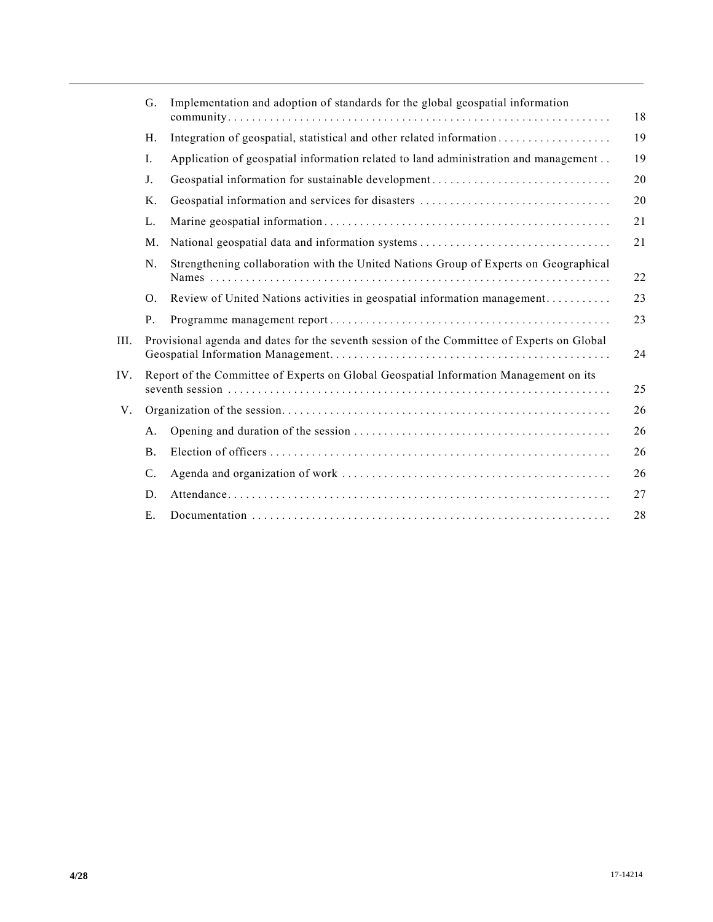|     | G.        | Implementation and adoption of standards for the global geospatial information             | 18 |
|-----|-----------|--------------------------------------------------------------------------------------------|----|
|     | H.        | Integration of geospatial, statistical and other related information                       | 19 |
|     | Ι.        | Application of geospatial information related to land administration and management        | 19 |
|     | J.        | Geospatial information for sustainable development                                         | 20 |
|     | Κ.        |                                                                                            | 20 |
|     | L.        |                                                                                            | 21 |
|     | M.        |                                                                                            | 21 |
|     | N.        | Strengthening collaboration with the United Nations Group of Experts on Geographical       | 22 |
|     | O.        | Review of United Nations activities in geospatial information management                   | 23 |
|     | P.        |                                                                                            | 23 |
| HL. |           | Provisional agenda and dates for the seventh session of the Committee of Experts on Global | 24 |
| IV. |           | Report of the Committee of Experts on Global Geospatial Information Management on its      | 25 |
| V.  |           |                                                                                            | 26 |
|     | A.        |                                                                                            | 26 |
|     | <b>B.</b> |                                                                                            | 26 |
|     | C.        |                                                                                            | 26 |
|     | D.        |                                                                                            | 27 |
|     | Ε.        |                                                                                            | 28 |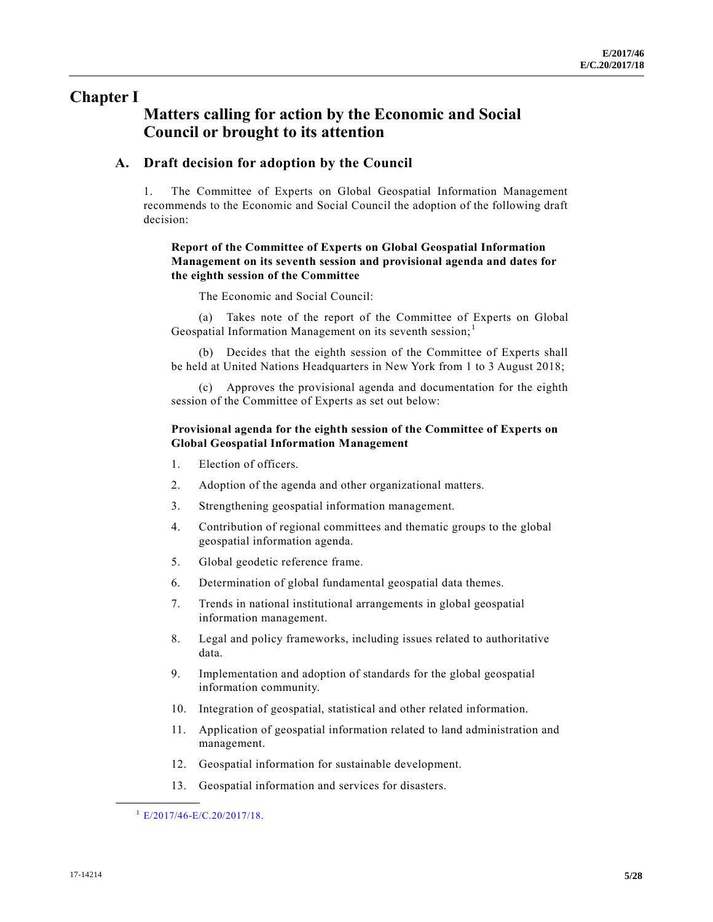# **Chapter I**

# **Matters calling for action by the Economic and Social Council or brought to its attention**

### **A. Draft decision for adoption by the Council**

1. The Committee of Experts on Global Geospatial Information Management recommends to the Economic and Social Council the adoption of the following draft decision:

#### **Report of the Committee of Experts on Global Geospatial Information Management on its seventh session and provisional agenda and dates for the eighth session of the Committee**

The Economic and Social Council:

(a) Takes note of the report of the Committee of Experts on Global Geospatial Information Management on its seventh session; $<sup>1</sup>$ </sup>

(b) Decides that the eighth session of the Committee of Experts shall be held at United Nations Headquarters in New York from 1 to 3 August 2018;

(c) Approves the provisional agenda and documentation for the eighth session of the Committee of Experts as set out below:

#### **Provisional agenda for the eighth session of the Committee of Experts on Global Geospatial Information Management**

- 1. Election of officers.
- 2. Adoption of the agenda and other organizational matters.
- 3. Strengthening geospatial information management.
- 4. Contribution of regional committees and thematic groups to the global geospatial information agenda.
- 5. Global geodetic reference frame.
- 6. Determination of global fundamental geospatial data themes.
- 7. Trends in national institutional arrangements in global geospatial information management.
- 8. Legal and policy frameworks, including issues related to authoritative data.
- 9. Implementation and adoption of standards for the global geospatial information community.
- 10. Integration of geospatial, statistical and other related information.
- 11. Application of geospatial information related to land administration and management.
- 12. Geospatial information for sustainable development.
- 13. Geospatial information and services for disasters.

<sup>1</sup> [E/2017/46-E/C.20/2017/18.](https://undocs.org/E/2017/46-E/C.20/2017/18)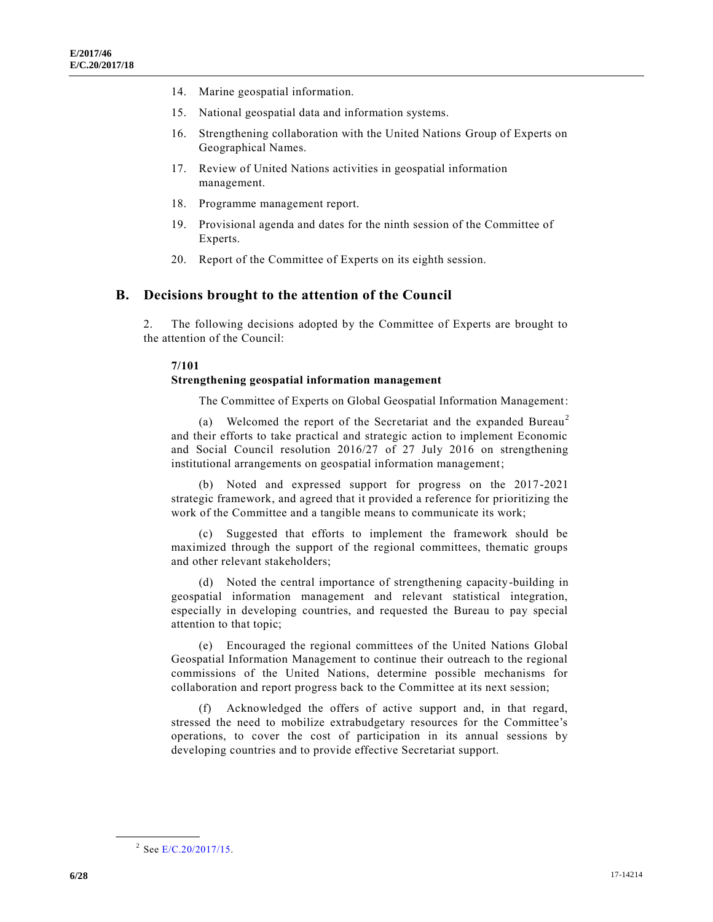- 14. Marine geospatial information.
- 15. National geospatial data and information systems.
- 16. Strengthening collaboration with the United Nations Group of Experts on Geographical Names.
- 17. Review of United Nations activities in geospatial information management.
- 18. Programme management report.
- 19. Provisional agenda and dates for the ninth session of the Committee of Experts.
- 20. Report of the Committee of Experts on its eighth session.

#### **B. Decisions brought to the attention of the Council**

2. The following decisions adopted by the Committee of Experts are brought to the attention of the Council:

#### **7/101**

#### **Strengthening geospatial information management**

The Committee of Experts on Global Geospatial Information Management:

(a) Welcomed the report of the Secretariat and the expanded Bureau<sup>2</sup> and their efforts to take practical and strategic action to implement Economic and Social Council resolution 2016/27 of 27 July 2016 on strengthening institutional arrangements on geospatial information management;

(b) Noted and expressed support for progress on the 2017-2021 strategic framework, and agreed that it provided a reference for prioritizing the work of the Committee and a tangible means to communicate its work;

(c) Suggested that efforts to implement the framework should be maximized through the support of the regional committees, thematic groups and other relevant stakeholders;

(d) Noted the central importance of strengthening capacity-building in geospatial information management and relevant statistical integration, especially in developing countries, and requested the Bureau to pay special attention to that topic;

(e) Encouraged the regional committees of the United Nations Global Geospatial Information Management to continue their outreach to the regional commissions of the United Nations, determine possible mechanisms for collaboration and report progress back to the Committee at its next session;

(f) Acknowledged the offers of active support and, in that regard, stressed the need to mobilize extrabudgetary resources for the Committee's operations, to cover the cost of participation in its annual sessions by developing countries and to provide effective Secretariat support.

<sup>&</sup>lt;sup>2</sup> See [E/C.20/2017/15.](https://undocs.org/E/C.20/2017/15)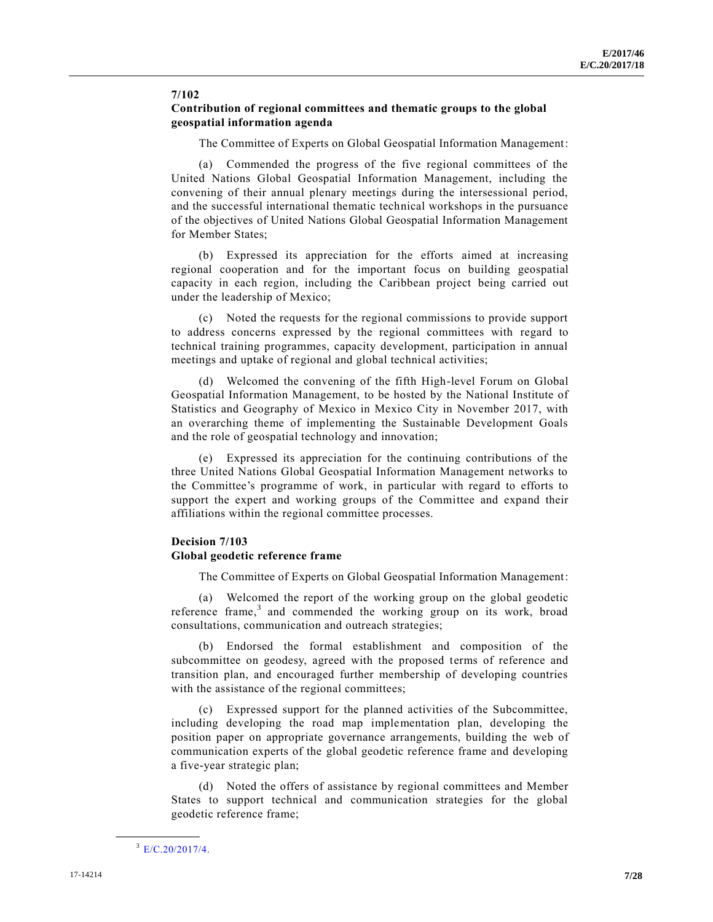#### **7/102 Contribution of regional committees and thematic groups to the global geospatial information agenda**

The Committee of Experts on Global Geospatial Information Management:

(a) Commended the progress of the five regional committees of the United Nations Global Geospatial Information Management, including the convening of their annual plenary meetings during the intersessional period, and the successful international thematic technical workshops in the pursuance of the objectives of United Nations Global Geospatial Information Management for Member States;

(b) Expressed its appreciation for the efforts aimed at increasing regional cooperation and for the important focus on building geospatial capacity in each region, including the Caribbean project being carried out under the leadership of Mexico;

(c) Noted the requests for the regional commissions to provide support to address concerns expressed by the regional committees with regard to technical training programmes, capacity development, participation in annual meetings and uptake of regional and global technical activities;

(d) Welcomed the convening of the fifth High-level Forum on Global Geospatial Information Management, to be hosted by the National Institute of Statistics and Geography of Mexico in Mexico City in November 2017, with an overarching theme of implementing the Sustainable Development Goals and the role of geospatial technology and innovation;

(e) Expressed its appreciation for the continuing contributions of the three United Nations Global Geospatial Information Management networks to the Committee's programme of work, in particular with regard to efforts to support the expert and working groups of the Committee and expand their affiliations within the regional committee processes.

#### **Decision 7/103**

#### **Global geodetic reference frame**

The Committee of Experts on Global Geospatial Information Management:

(a) Welcomed the report of the working group on the global geodetic reference frame,<sup>3</sup> and commended the working group on its work, broad consultations, communication and outreach strategies;

(b) Endorsed the formal establishment and composition of the subcommittee on geodesy, agreed with the proposed terms of reference and transition plan, and encouraged further membership of developing countries with the assistance of the regional committees;

(c) Expressed support for the planned activities of the Subcommittee, including developing the road map implementation plan, developing the position paper on appropriate governance arrangements, building the web of communication experts of the global geodetic reference frame and developing a five-year strategic plan;

(d) Noted the offers of assistance by regional committees and Member States to support technical and communication strategies for the global geodetic reference frame;

 $E/C.20/2017/4$ .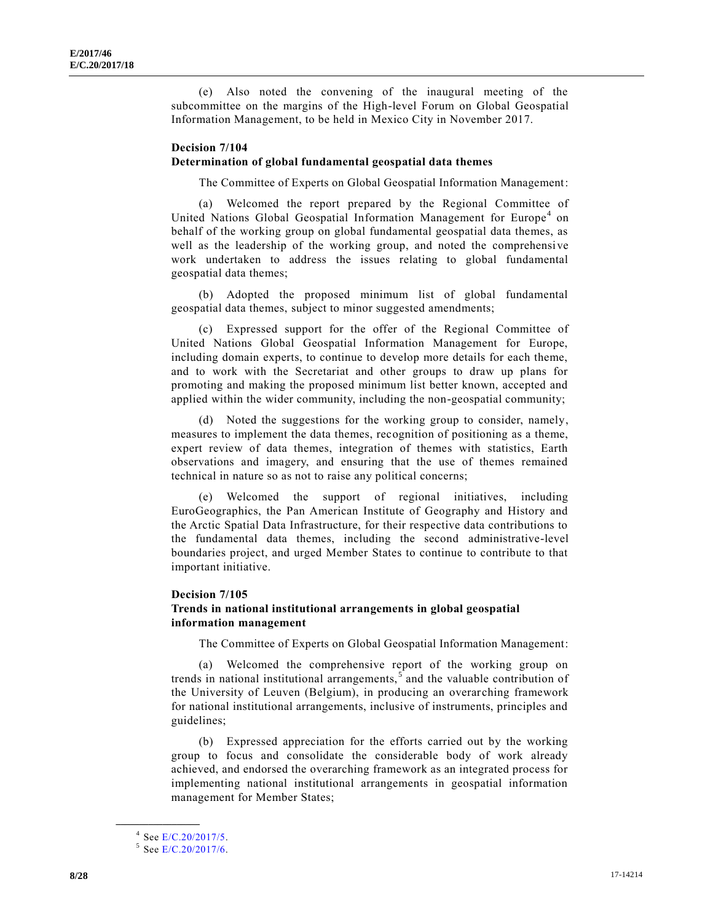(e) Also noted the convening of the inaugural meeting of the subcommittee on the margins of the High-level Forum on Global Geospatial Information Management, to be held in Mexico City in November 2017.

#### **Decision 7/104 Determination of global fundamental geospatial data themes**

The Committee of Experts on Global Geospatial Information Management:

(a) Welcomed the report prepared by the Regional Committee of United Nations Global Geospatial Information Management for Europe<sup>4</sup> on behalf of the working group on global fundamental geospatial data themes, as well as the leadership of the working group, and noted the comprehensive work undertaken to address the issues relating to global fundamental geospatial data themes;

(b) Adopted the proposed minimum list of global fundamental geospatial data themes, subject to minor suggested amendments;

(c) Expressed support for the offer of the Regional Committee of United Nations Global Geospatial Information Management for Europe, including domain experts, to continue to develop more details for each theme, and to work with the Secretariat and other groups to draw up plans for promoting and making the proposed minimum list better known, accepted and applied within the wider community, including the non-geospatial community;

(d) Noted the suggestions for the working group to consider, namely, measures to implement the data themes, recognition of positioning as a theme, expert review of data themes, integration of themes with statistics, Earth observations and imagery, and ensuring that the use of themes remained technical in nature so as not to raise any political concerns;

(e) Welcomed the support of regional initiatives, including EuroGeographics, the Pan American Institute of Geography and History and the Arctic Spatial Data Infrastructure, for their respective data contributions to the fundamental data themes, including the second administrative-level boundaries project, and urged Member States to continue to contribute to that important initiative.

#### **Decision 7/105**

#### **Trends in national institutional arrangements in global geospatial information management**

The Committee of Experts on Global Geospatial Information Management:

(a) Welcomed the comprehensive report of the working group on trends in national institutional arrangements,  $\overline{s}$  and the valuable contribution of the University of Leuven (Belgium), in producing an overarching framework for national institutional arrangements, inclusive of instruments, principles and guidelines;

(b) Expressed appreciation for the efforts carried out by the working group to focus and consolidate the considerable body of work already achieved, and endorsed the overarching framework as an integrated process for implementing national institutional arrangements in geospatial information management for Member States;

<sup>&</sup>lt;sup>4</sup> See [E/C.20/2017/5.](https://undocs.org/E/C.20/2017/5)

<sup>&</sup>lt;sup>5</sup> See [E/C.20/2017/6.](https://undocs.org/E/C.20/2017/6)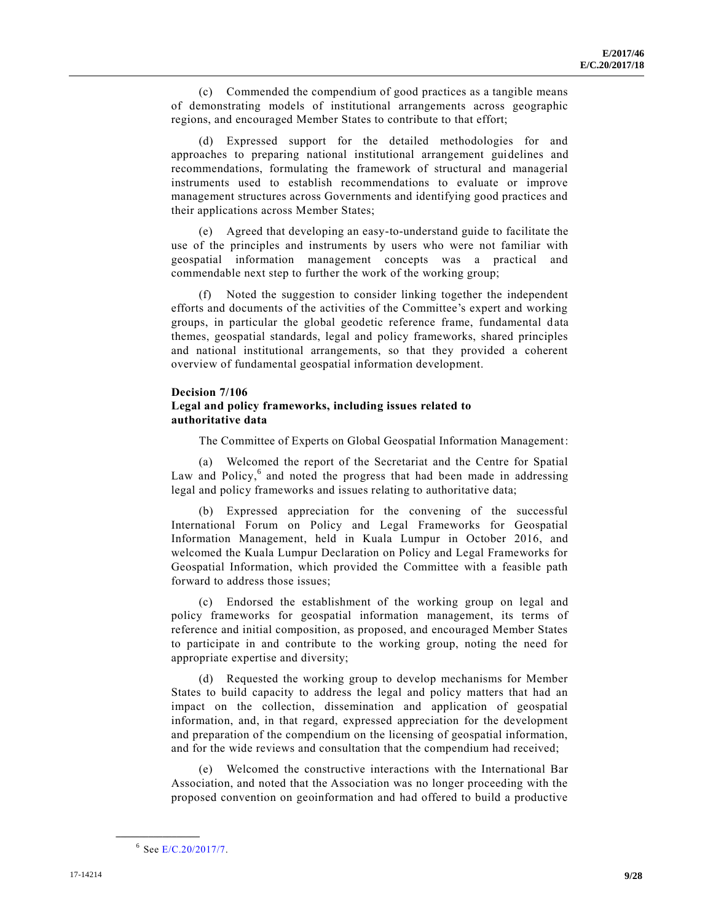(c) Commended the compendium of good practices as a tangible means of demonstrating models of institutional arrangements across geographic regions, and encouraged Member States to contribute to that effort;

(d) Expressed support for the detailed methodologies for and approaches to preparing national institutional arrangement guidelines and recommendations, formulating the framework of structural and managerial instruments used to establish recommendations to evaluate or improve management structures across Governments and identifying good practices and their applications across Member States;

(e) Agreed that developing an easy-to-understand guide to facilitate the use of the principles and instruments by users who were not familiar with geospatial information management concepts was a practical and commendable next step to further the work of the working group;

(f) Noted the suggestion to consider linking together the independent efforts and documents of the activities of the Committee's expert and working groups, in particular the global geodetic reference frame, fundamental data themes, geospatial standards, legal and policy frameworks, shared principles and national institutional arrangements, so that they provided a coherent overview of fundamental geospatial information development.

#### **Decision 7/106 Legal and policy frameworks, including issues related to authoritative data**

The Committee of Experts on Global Geospatial Information Management:

(a) Welcomed the report of the Secretariat and the Centre for Spatial Law and Policy,<sup>6</sup> and noted the progress that had been made in addressing legal and policy frameworks and issues relating to authoritative data;

(b) Expressed appreciation for the convening of the successful International Forum on Policy and Legal Frameworks for Geospatial Information Management, held in Kuala Lumpur in October 2016, and welcomed the Kuala Lumpur Declaration on Policy and Legal Frameworks for Geospatial Information, which provided the Committee with a feasible path forward to address those issues;

(c) Endorsed the establishment of the working group on legal and policy frameworks for geospatial information management, its terms of reference and initial composition, as proposed, and encouraged Member States to participate in and contribute to the working group, noting the need for appropriate expertise and diversity;

(d) Requested the working group to develop mechanisms for Member States to build capacity to address the legal and policy matters that had an impact on the collection, dissemination and application of geospatial information, and, in that regard, expressed appreciation for the development and preparation of the compendium on the licensing of geospatial information, and for the wide reviews and consultation that the compendium had received;

(e) Welcomed the constructive interactions with the International Bar Association, and noted that the Association was no longer proceeding with the proposed convention on geoinformation and had offered to build a productive

<sup>&</sup>lt;sup>6</sup> See [E/C.20/2017/7.](https://undocs.org/E/C.20/2017/7)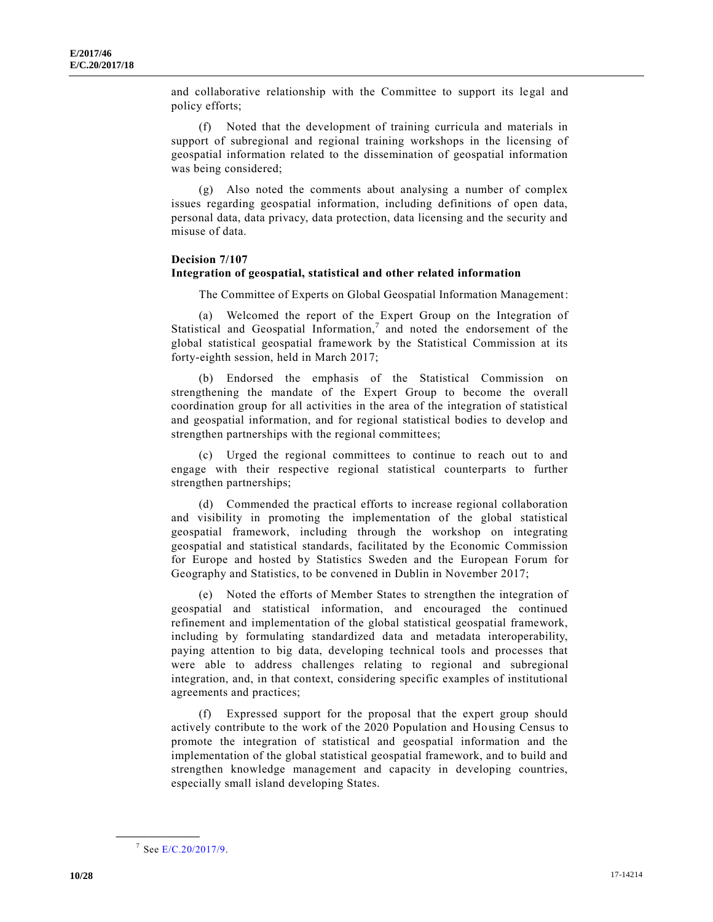and collaborative relationship with the Committee to support its legal and policy efforts;

(f) Noted that the development of training curricula and materials in support of subregional and regional training workshops in the licensing of geospatial information related to the dissemination of geospatial information was being considered;

(g) Also noted the comments about analysing a number of complex issues regarding geospatial information, including definitions of open data, personal data, data privacy, data protection, data licensing and the security and misuse of data.

#### **Decision 7/107 Integration of geospatial, statistical and other related information**

The Committee of Experts on Global Geospatial Information Management:

(a) Welcomed the report of the Expert Group on the Integration of Statistical and Geospatial Information,<sup>7</sup> and noted the endorsement of the global statistical geospatial framework by the Statistical Commission at its forty-eighth session, held in March 2017;

(b) Endorsed the emphasis of the Statistical Commission on strengthening the mandate of the Expert Group to become the overall coordination group for all activities in the area of the integration of statistical and geospatial information, and for regional statistical bodies to develop and strengthen partnerships with the regional committees;

(c) Urged the regional committees to continue to reach out to and engage with their respective regional statistical counterparts to further strengthen partnerships;

(d) Commended the practical efforts to increase regional collaboration and visibility in promoting the implementation of the global statistical geospatial framework, including through the workshop on integrating geospatial and statistical standards, facilitated by the Economic Commission for Europe and hosted by Statistics Sweden and the European Forum for Geography and Statistics, to be convened in Dublin in November 2017;

(e) Noted the efforts of Member States to strengthen the integration of geospatial and statistical information, and encouraged the continued refinement and implementation of the global statistical geospatial framework, including by formulating standardized data and metadata interoperability, paying attention to big data, developing technical tools and processes that were able to address challenges relating to regional and subregional integration, and, in that context, considering specific examples of institutional agreements and practices;

(f) Expressed support for the proposal that the expert group should actively contribute to the work of the 2020 Population and Housing Census to promote the integration of statistical and geospatial information and the implementation of the global statistical geospatial framework, and to build and strengthen knowledge management and capacity in developing countries, especially small island developing States.

<sup>&</sup>lt;sup>7</sup> See [E/C.20/2017/9.](https://undocs.org/E/C.20/2017/9)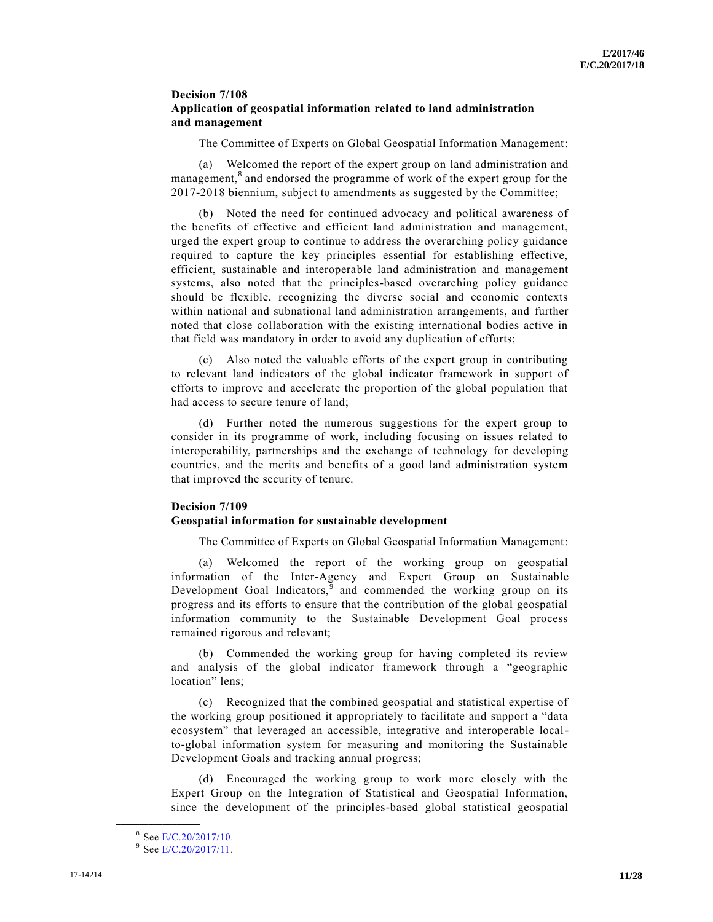#### **Decision 7/108 Application of geospatial information related to land administration and management**

The Committee of Experts on Global Geospatial Information Management:

(a) Welcomed the report of the expert group on land administration and management,<sup>8</sup> and endorsed the programme of work of the expert group for the 2017-2018 biennium, subject to amendments as suggested by the Committee;

(b) Noted the need for continued advocacy and political awareness of the benefits of effective and efficient land administration and management, urged the expert group to continue to address the overarching policy guidance required to capture the key principles essential for establishing effective, efficient, sustainable and interoperable land administration and management systems, also noted that the principles-based overarching policy guidance should be flexible, recognizing the diverse social and economic contexts within national and subnational land administration arrangements, and further noted that close collaboration with the existing international bodies active in that field was mandatory in order to avoid any duplication of efforts;

(c) Also noted the valuable efforts of the expert group in contributing to relevant land indicators of the global indicator framework in support of efforts to improve and accelerate the proportion of the global population that had access to secure tenure of land;

(d) Further noted the numerous suggestions for the expert group to consider in its programme of work, including focusing on issues related to interoperability, partnerships and the exchange of technology for developing countries, and the merits and benefits of a good land administration system that improved the security of tenure.

#### **Decision 7/109 Geospatial information for sustainable development**

The Committee of Experts on Global Geospatial Information Management:

(a) Welcomed the report of the working group on geospatial information of the Inter-Agency and Expert Group on Sustainable Development Goal Indicators,<sup>9</sup> and commended the working group on its progress and its efforts to ensure that the contribution of the global geospatial information community to the Sustainable Development Goal process remained rigorous and relevant;

(b) Commended the working group for having completed its review and analysis of the global indicator framework through a "geographic location" lens;

(c) Recognized that the combined geospatial and statistical expertise of the working group positioned it appropriately to facilitate and support a "data ecosystem" that leveraged an accessible, integrative and interoperable localto-global information system for measuring and monitoring the Sustainable Development Goals and tracking annual progress;

(d) Encouraged the working group to work more closely with the Expert Group on the Integration of Statistical and Geospatial Information, since the development of the principles-based global statistical geospatial

<sup>&</sup>lt;sup>8</sup> See [E/C.20/2017/10.](https://undocs.org/E/C.20/2017/10)

<sup>&</sup>lt;sup>9</sup> See [E/C.20/2017/11.](https://undocs.org/E/C.20/2017/11)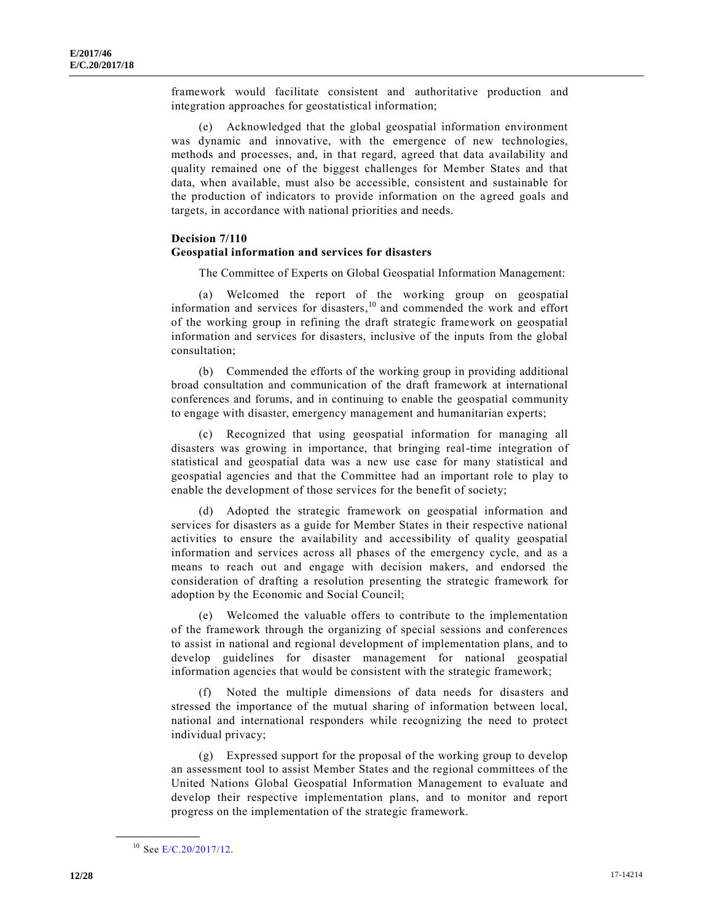framework would facilitate consistent and authoritative production and integration approaches for geostatistical information;

(e) Acknowledged that the global geospatial information environment was dynamic and innovative, with the emergence of new technologies, methods and processes, and, in that regard, agreed that data availability and quality remained one of the biggest challenges for Member States and that data, when available, must also be accessible, consistent and sustainable for the production of indicators to provide information on the agreed goals and targets, in accordance with national priorities and needs.

#### **Decision 7/110**

#### **Geospatial information and services for disasters**

The Committee of Experts on Global Geospatial Information Management:

(a) Welcomed the report of the working group on geospatial information and services for disasters, <sup>10</sup> and commended the work and effort of the working group in refining the draft strategic framework on geospatial information and services for disasters, inclusive of the inputs from the global consultation;

(b) Commended the efforts of the working group in providing additional broad consultation and communication of the draft framework at international conferences and forums, and in continuing to enable the geospatial community to engage with disaster, emergency management and humanitarian experts;

(c) Recognized that using geospatial information for managing all disasters was growing in importance, that bringing real-time integration of statistical and geospatial data was a new use case for many statistical and geospatial agencies and that the Committee had an important role to play to enable the development of those services for the benefit of society;

(d) Adopted the strategic framework on geospatial information and services for disasters as a guide for Member States in their respective national activities to ensure the availability and accessibility of quality geospatial information and services across all phases of the emergency cycle, and as a means to reach out and engage with decision makers, and endorsed the consideration of drafting a resolution presenting the strategic framework for adoption by the Economic and Social Council;

(e) Welcomed the valuable offers to contribute to the implementation of the framework through the organizing of special sessions and conferences to assist in national and regional development of implementation plans, and to develop guidelines for disaster management for national geospatial information agencies that would be consistent with the strategic framework;

(f) Noted the multiple dimensions of data needs for disasters and stressed the importance of the mutual sharing of information between local, national and international responders while recognizing the need to protect individual privacy;

(g) Expressed support for the proposal of the working group to develop an assessment tool to assist Member States and the regional committees of the United Nations Global Geospatial Information Management to evaluate and develop their respective implementation plans, and to monitor and report progress on the implementation of the strategic framework.

<sup>&</sup>lt;sup>10</sup> See [E/C.20/2017/12.](https://undocs.org/E/C.20/2017/12)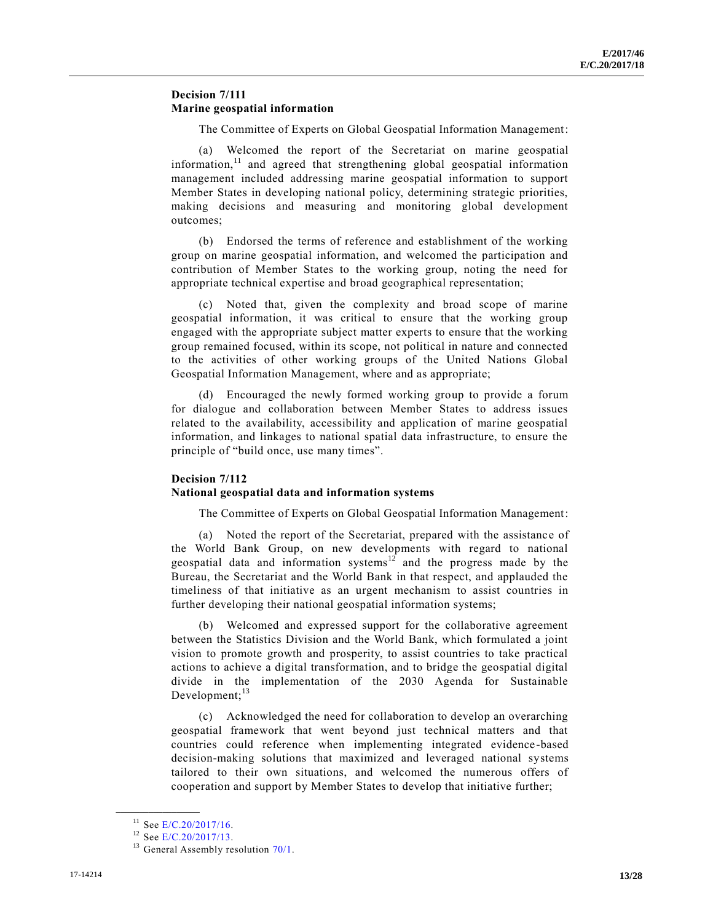#### **Decision 7/111 Marine geospatial information**

The Committee of Experts on Global Geospatial Information Management:

(a) Welcomed the report of the Secretariat on marine geospatial information, $11$  and agreed that strengthening global geospatial information management included addressing marine geospatial information to support Member States in developing national policy, determining strategic priorities, making decisions and measuring and monitoring global development outcomes;

(b) Endorsed the terms of reference and establishment of the working group on marine geospatial information, and welcomed the participation and contribution of Member States to the working group, noting the need for appropriate technical expertise and broad geographical representation;

(c) Noted that, given the complexity and broad scope of marine geospatial information, it was critical to ensure that the working group engaged with the appropriate subject matter experts to ensure that the working group remained focused, within its scope, not political in nature and connected to the activities of other working groups of the United Nations Global Geospatial Information Management, where and as appropriate;

(d) Encouraged the newly formed working group to provide a forum for dialogue and collaboration between Member States to address issues related to the availability, accessibility and application of marine geospatial information, and linkages to national spatial data infrastructure, to ensure the principle of "build once, use many times".

#### **Decision 7/112**

#### **National geospatial data and information systems**

The Committee of Experts on Global Geospatial Information Management:

(a) Noted the report of the Secretariat, prepared with the assistance of the World Bank Group, on new developments with regard to national geospatial data and information systems<sup>12</sup> and the progress made by the Bureau, the Secretariat and the World Bank in that respect, and applauded the timeliness of that initiative as an urgent mechanism to assist countries in further developing their national geospatial information systems;

(b) Welcomed and expressed support for the collaborative agreement between the Statistics Division and the World Bank, which formulated a joint vision to promote growth and prosperity, to assist countries to take practical actions to achieve a digital transformation, and to bridge the geospatial digital divide in the implementation of the 2030 Agenda for Sustainable Development; $^{13}$ 

(c) Acknowledged the need for collaboration to develop an overarching geospatial framework that went beyond just technical matters and that countries could reference when implementing integrated evidence -based decision-making solutions that maximized and leveraged national systems tailored to their own situations, and welcomed the numerous offers of cooperation and support by Member States to develop that initiative further;

 $11$  See [E/C.20/2017/16.](https://undocs.org/E/C.20/2017/16)

<sup>&</sup>lt;sup>12</sup> See [E/C.20/2017/13.](https://undocs.org/E/C.20/2017/13)

<sup>&</sup>lt;sup>13</sup> General Assembly resolution  $70/1$ .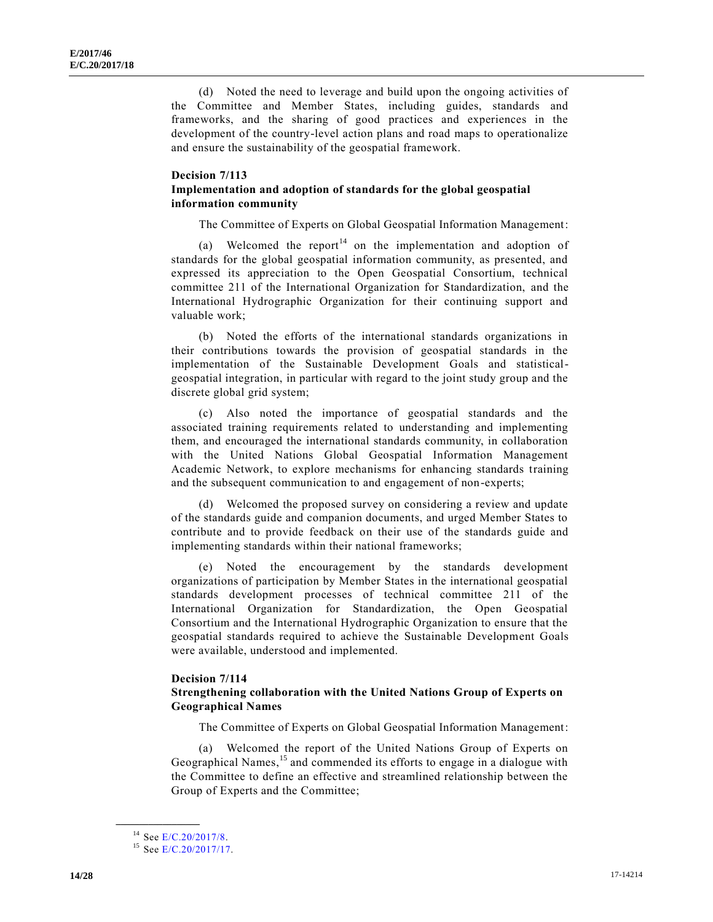(d) Noted the need to leverage and build upon the ongoing activities of the Committee and Member States, including guides, standards and frameworks, and the sharing of good practices and experiences in the development of the country-level action plans and road maps to operationalize and ensure the sustainability of the geospatial framework.

#### **Decision 7/113 Implementation and adoption of standards for the global geospatial information community**

The Committee of Experts on Global Geospatial Information Management:

(a) Welcomed the report<sup>14</sup> on the implementation and adoption of standards for the global geospatial information community, as presented, and expressed its appreciation to the Open Geospatial Consortium, technical committee 211 of the International Organization for Standardization, and the International Hydrographic Organization for their continuing support and valuable work;

(b) Noted the efforts of the international standards organizations in their contributions towards the provision of geospatial standards in the implementation of the Sustainable Development Goals and statisticalgeospatial integration, in particular with regard to the joint study group and the discrete global grid system;

(c) Also noted the importance of geospatial standards and the associated training requirements related to understanding and implementing them, and encouraged the international standards community, in collaboration with the United Nations Global Geospatial Information Management Academic Network, to explore mechanisms for enhancing standards training and the subsequent communication to and engagement of non-experts;

(d) Welcomed the proposed survey on considering a review and update of the standards guide and companion documents, and urged Member States to contribute and to provide feedback on their use of the standards guide and implementing standards within their national frameworks;

(e) Noted the encouragement by the standards development organizations of participation by Member States in the international geospatial standards development processes of technical committee 211 of the International Organization for Standardization, the Open Geospatial Consortium and the International Hydrographic Organization to ensure that the geospatial standards required to achieve the Sustainable Development Goals were available, understood and implemented.

#### **Decision 7/114 Strengthening collaboration with the United Nations Group of Experts on Geographical Names**

The Committee of Experts on Global Geospatial Information Management:

(a) Welcomed the report of the United Nations Group of Experts on Geographical Names,<sup>15</sup> and commended its efforts to engage in a dialogue with the Committee to define an effective and streamlined relationship between the Group of Experts and the Committee;

<sup>&</sup>lt;sup>14</sup> See [E/C.20/2017/8.](https://undocs.org/E/C.20/2017/8)

<sup>&</sup>lt;sup>15</sup> See [E/C.20/2017/17.](https://undocs.org/E/C.20/2017/17)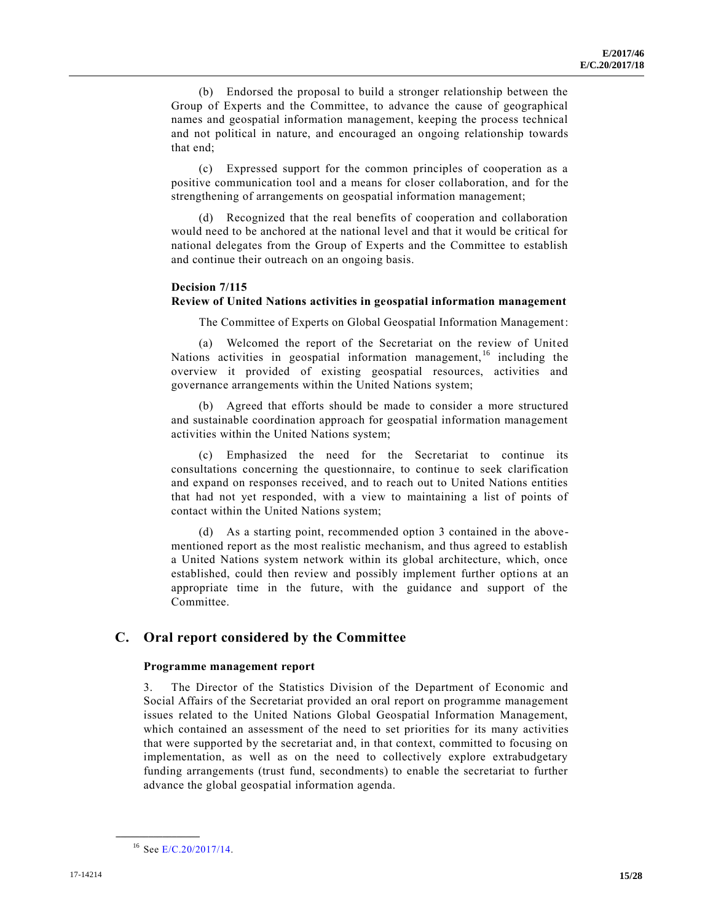(b) Endorsed the proposal to build a stronger relationship between the Group of Experts and the Committee, to advance the cause of geographical names and geospatial information management, keeping the process technical and not political in nature, and encouraged an ongoing relationship towards that end;

(c) Expressed support for the common principles of cooperation as a positive communication tool and a means for closer collaboration, and for the strengthening of arrangements on geospatial information management;

Recognized that the real benefits of cooperation and collaboration would need to be anchored at the national level and that it would be critical for national delegates from the Group of Experts and the Committee to establish and continue their outreach on an ongoing basis.

#### **Decision 7/115**

#### **Review of United Nations activities in geospatial information management**

The Committee of Experts on Global Geospatial Information Management:

(a) Welcomed the report of the Secretariat on the review of United Nations activities in geospatial information management,<sup>16</sup> including the overview it provided of existing geospatial resources, activities and governance arrangements within the United Nations system;

(b) Agreed that efforts should be made to consider a more structured and sustainable coordination approach for geospatial information management activities within the United Nations system;

(c) Emphasized the need for the Secretariat to continue its consultations concerning the questionnaire, to continue to seek clarification and expand on responses received, and to reach out to United Nations entities that had not yet responded, with a view to maintaining a list of points of contact within the United Nations system;

(d) As a starting point, recommended option 3 contained in the abovementioned report as the most realistic mechanism, and thus agreed to establish a United Nations system network within its global architecture, which, once established, could then review and possibly implement further options at an appropriate time in the future, with the guidance and support of the Committee.

#### **C. Oral report considered by the Committee**

#### **Programme management report**

3. The Director of the Statistics Division of the Department of Economic and Social Affairs of the Secretariat provided an oral report on programme management issues related to the United Nations Global Geospatial Information Management, which contained an assessment of the need to set priorities for its many activities that were supported by the secretariat and, in that context, committed to focusing on implementation, as well as on the need to collectively explore extrabudgetary funding arrangements (trust fund, secondments) to enable the secretariat to further advance the global geospatial information agenda.

<sup>&</sup>lt;sup>16</sup> See [E/C.20/2017/14.](https://undocs.org/E/C.20/2017/14)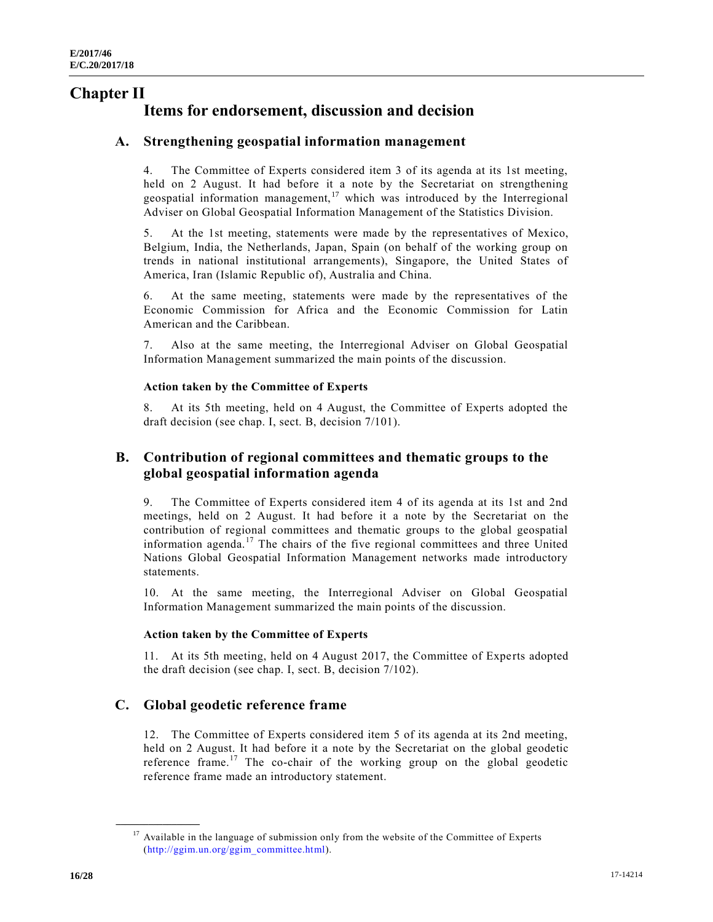# **Chapter II Items for endorsement, discussion and decision**

# **A. Strengthening geospatial information management**

4. The Committee of Experts considered item 3 of its agenda at its 1st meeting, held on 2 August. It had before it a note by the Secretariat on strengthening geospatial information management,<sup>17</sup> which was introduced by the Interregional Adviser on Global Geospatial Information Management of the Statistics Division.

5. At the 1st meeting, statements were made by the representatives of Mexico, Belgium, India, the Netherlands, Japan, Spain (on behalf of the working group on trends in national institutional arrangements), Singapore, the United States of America, Iran (Islamic Republic of), Australia and China.

6. At the same meeting, statements were made by the representatives of the Economic Commission for Africa and the Economic Commission for Latin American and the Caribbean.

7. Also at the same meeting, the Interregional Adviser on Global Geospatial Information Management summarized the main points of the discussion.

#### **Action taken by the Committee of Experts**

8. At its 5th meeting, held on 4 August, the Committee of Experts adopted the draft decision (see chap. I, sect. B, decision 7/101).

# **B. Contribution of regional committees and thematic groups to the global geospatial information agenda**

9. The Committee of Experts considered item 4 of its agenda at its 1st and 2nd meetings, held on 2 August. It had before it a note by the Secretariat on the contribution of regional committees and thematic groups to the global geospatial information agenda.<sup>17</sup> The chairs of the five regional committees and three United Nations Global Geospatial Information Management networks made introductory statements.

10. At the same meeting, the Interregional Adviser on Global Geospatial Information Management summarized the main points of the discussion.

#### **Action taken by the Committee of Experts**

11. At its 5th meeting, held on 4 August 2017, the Committee of Experts adopted the draft decision (see chap. I, sect. B, decision 7/102).

# **C. Global geodetic reference frame**

12. The Committee of Experts considered item 5 of its agenda at its 2nd meeting, held on 2 August. It had before it a note by the Secretariat on the global geodetic reference frame.<sup>17</sup> The co-chair of the working group on the global geodetic reference frame made an introductory statement.

<sup>&</sup>lt;sup>17</sup> Available in the language of submission only from the website of the Committee of Experts [\(http://ggim.un.org/ggim\\_committee.html\)](http://ggim.un.org/ggim_committee.html).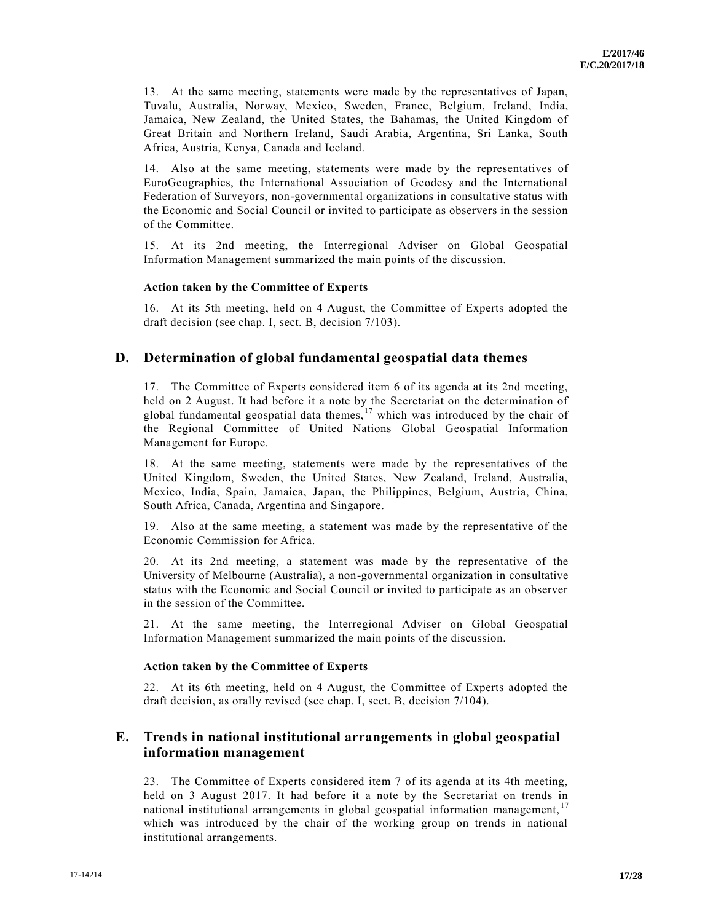13. At the same meeting, statements were made by the representatives of Japan, Tuvalu, Australia, Norway, Mexico, Sweden, France, Belgium, Ireland, India, Jamaica, New Zealand, the United States, the Bahamas, the United Kingdom of Great Britain and Northern Ireland, Saudi Arabia, Argentina, Sri Lanka, South Africa, Austria, Kenya, Canada and Iceland.

14. Also at the same meeting, statements were made by the representatives of EuroGeographics, the International Association of Geodesy and the International Federation of Surveyors, non-governmental organizations in consultative status with the Economic and Social Council or invited to participate as observers in the session of the Committee.

15. At its 2nd meeting, the Interregional Adviser on Global Geospatial Information Management summarized the main points of the discussion.

#### **Action taken by the Committee of Experts**

16. At its 5th meeting, held on 4 August, the Committee of Experts adopted the draft decision (see chap. I, sect. B, decision 7/103).

### **D. Determination of global fundamental geospatial data themes**

17. The Committee of Experts considered item 6 of its agenda at its 2nd meeting, held on 2 August. It had before it a note by the Secretariat on the determination of global fundamental geospatial data themes,  $17$  which was introduced by the chair of the Regional Committee of United Nations Global Geospatial Information Management for Europe.

18. At the same meeting, statements were made by the representatives of the United Kingdom, Sweden, the United States, New Zealand, Ireland, Australia, Mexico, India, Spain, Jamaica, Japan, the Philippines, Belgium, Austria, China, South Africa, Canada, Argentina and Singapore.

19. Also at the same meeting, a statement was made by the representative of the Economic Commission for Africa.

20. At its 2nd meeting, a statement was made by the representative of the University of Melbourne (Australia), a non-governmental organization in consultative status with the Economic and Social Council or invited to participate as an observer in the session of the Committee.

21. At the same meeting, the Interregional Adviser on Global Geospatial Information Management summarized the main points of the discussion.

#### **Action taken by the Committee of Experts**

22. At its 6th meeting, held on 4 August, the Committee of Experts adopted the draft decision, as orally revised (see chap. I, sect. B, decision 7/104).

# **E. Trends in national institutional arrangements in global geospatial information management**

23. The Committee of Experts considered item 7 of its agenda at its 4th meeting, held on 3 August 2017. It had before it a note by the Secretariat on trends in national institutional arrangements in global geospatial information management,  $17$ which was introduced by the chair of the working group on trends in national institutional arrangements.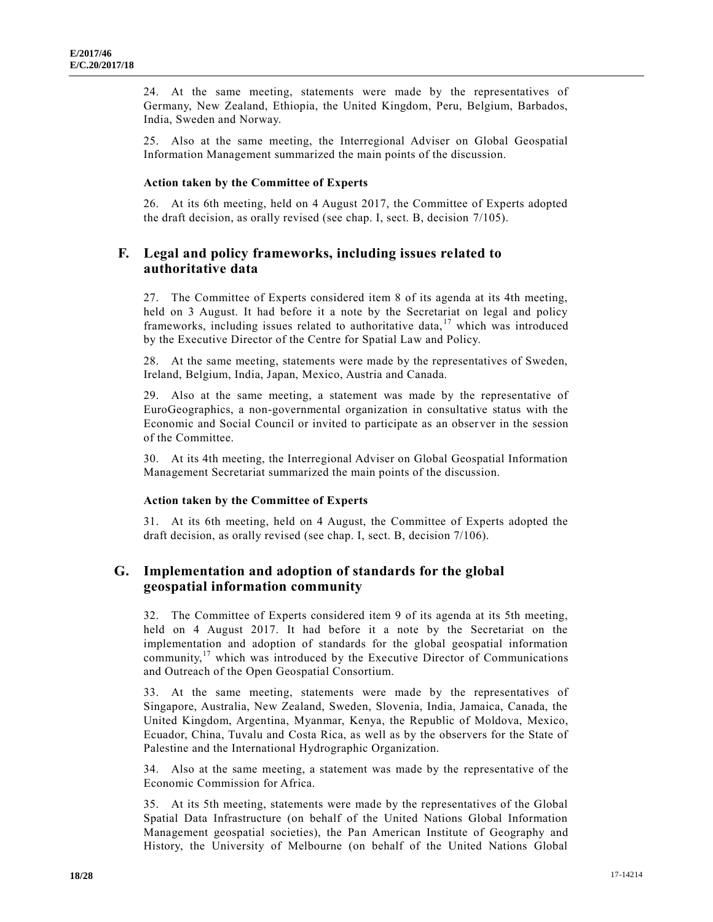24. At the same meeting, statements were made by the representatives of Germany, New Zealand, Ethiopia, the United Kingdom, Peru, Belgium, Barbados, India, Sweden and Norway.

25. Also at the same meeting, the Interregional Adviser on Global Geospatial Information Management summarized the main points of the discussion.

#### **Action taken by the Committee of Experts**

26. At its 6th meeting, held on 4 August 2017, the Committee of Experts adopted the draft decision, as orally revised (see chap. I, sect. B, decision 7/105).

# **F. Legal and policy frameworks, including issues related to authoritative data**

27. The Committee of Experts considered item 8 of its agenda at its 4th meeting, held on 3 August. It had before it a note by the Secretariat on legal and policy frameworks, including issues related to authoritative data, <sup>17</sup> which was introduced by the Executive Director of the Centre for Spatial Law and Policy.

28. At the same meeting, statements were made by the representatives of Sweden, Ireland, Belgium, India, Japan, Mexico, Austria and Canada.

29. Also at the same meeting, a statement was made by the representative of EuroGeographics, a non-governmental organization in consultative status with the Economic and Social Council or invited to participate as an observer in the session of the Committee.

30. At its 4th meeting, the Interregional Adviser on Global Geospatial Information Management Secretariat summarized the main points of the discussion.

#### **Action taken by the Committee of Experts**

31. At its 6th meeting, held on 4 August, the Committee of Experts adopted the draft decision, as orally revised (see chap. I, sect. B, decision 7/106).

# **G. Implementation and adoption of standards for the global geospatial information community**

32. The Committee of Experts considered item 9 of its agenda at its 5th meeting, held on 4 August 2017. It had before it a note by the Secretariat on the implementation and adoption of standards for the global geospatial information community,<sup>17</sup> which was introduced by the Executive Director of Communications and Outreach of the Open Geospatial Consortium.

33. At the same meeting, statements were made by the representatives of Singapore, Australia, New Zealand, Sweden, Slovenia, India, Jamaica, Canada, the United Kingdom, Argentina, Myanmar, Kenya, the Republic of Moldova, Mexico, Ecuador, China, Tuvalu and Costa Rica, as well as by the observers for the State of Palestine and the International Hydrographic Organization.

34. Also at the same meeting, a statement was made by the representative of the Economic Commission for Africa.

35. At its 5th meeting, statements were made by the representatives of the Global Spatial Data Infrastructure (on behalf of the United Nations Global Information Management geospatial societies), the Pan American Institute of Geography and History, the University of Melbourne (on behalf of the United Nations Global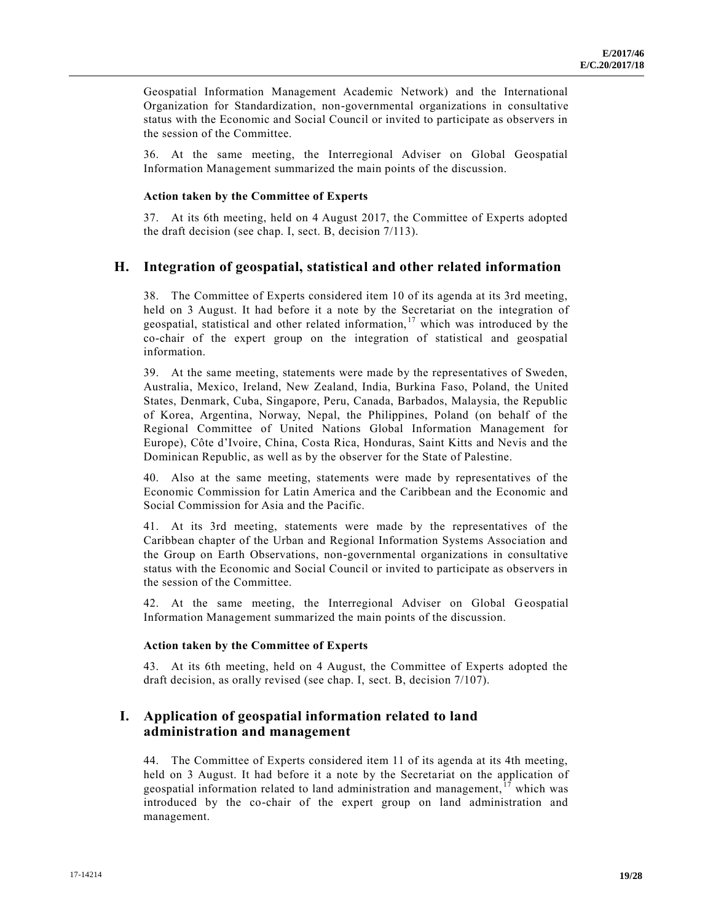Geospatial Information Management Academic Network) and the International Organization for Standardization, non-governmental organizations in consultative status with the Economic and Social Council or invited to participate as observers in the session of the Committee.

36. At the same meeting, the Interregional Adviser on Global Geospatial Information Management summarized the main points of the discussion.

#### **Action taken by the Committee of Experts**

37. At its 6th meeting, held on 4 August 2017, the Committee of Experts adopted the draft decision (see chap. I, sect. B, decision 7/113).

### **H. Integration of geospatial, statistical and other related information**

38. The Committee of Experts considered item 10 of its agenda at its 3rd meeting, held on 3 August. It had before it a note by the Secretariat on the integration of geospatial, statistical and other related information,  $17$  which was introduced by the co-chair of the expert group on the integration of statistical and geospatial information.

39. At the same meeting, statements were made by the representatives of Sweden, Australia, Mexico, Ireland, New Zealand, India, Burkina Faso, Poland, the United States, Denmark, Cuba, Singapore, Peru, Canada, Barbados, Malaysia, the Republic of Korea, Argentina, Norway, Nepal, the Philippines, Poland (on behalf of the Regional Committee of United Nations Global Information Management for Europe), Côte d'Ivoire, China, Costa Rica, Honduras, Saint Kitts and Nevis and the Dominican Republic, as well as by the observer for the State of Palestine.

40. Also at the same meeting, statements were made by representatives of the Economic Commission for Latin America and the Caribbean and the Economic and Social Commission for Asia and the Pacific.

41. At its 3rd meeting, statements were made by the representatives of the Caribbean chapter of the Urban and Regional Information Systems Association and the Group on Earth Observations, non-governmental organizations in consultative status with the Economic and Social Council or invited to participate as observers in the session of the Committee.

42. At the same meeting, the Interregional Adviser on Global Geospatial Information Management summarized the main points of the discussion.

#### **Action taken by the Committee of Experts**

43. At its 6th meeting, held on 4 August, the Committee of Experts adopted the draft decision, as orally revised (see chap. I, sect. B, decision 7/107).

# **I. Application of geospatial information related to land administration and management**

44. The Committee of Experts considered item 11 of its agenda at its 4th meeting, held on 3 August. It had before it a note by the Secretariat on the application of geospatial information related to land administration and management,  $\frac{17}{17}$  which was introduced by the co-chair of the expert group on land administration and management.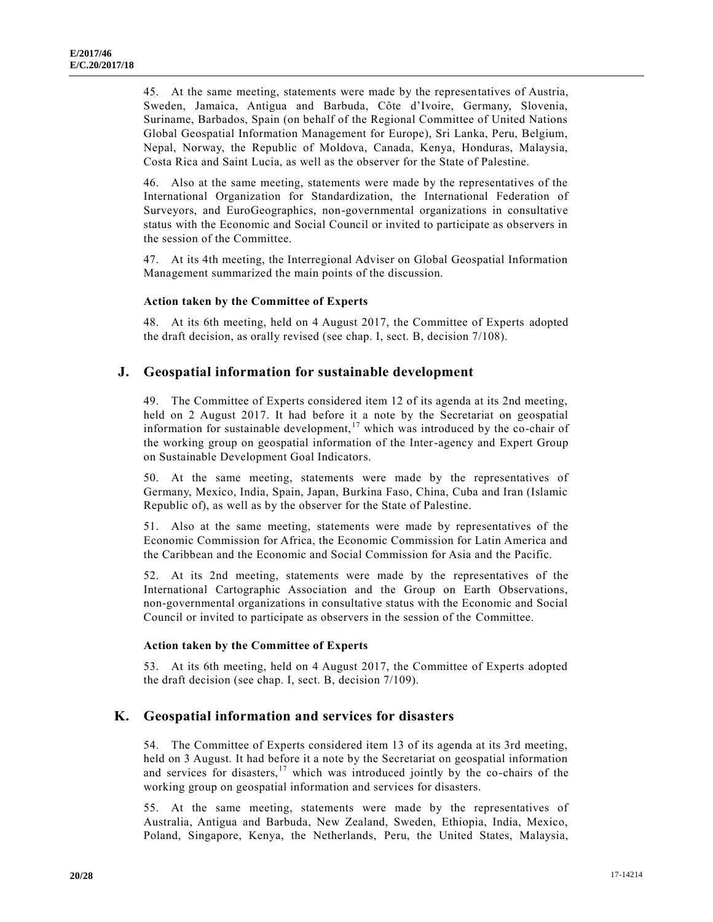45. At the same meeting, statements were made by the representatives of Austria, Sweden, Jamaica, Antigua and Barbuda, Côte d'Ivoire, Germany, Slovenia, Suriname, Barbados, Spain (on behalf of the Regional Committee of United Nations Global Geospatial Information Management for Europe), Sri Lanka, Peru, Belgium, Nepal, Norway, the Republic of Moldova, Canada, Kenya, Honduras, Malaysia, Costa Rica and Saint Lucia, as well as the observer for the State of Palestine.

46. Also at the same meeting, statements were made by the representatives of the International Organization for Standardization, the International Federation of Surveyors, and EuroGeographics, non-governmental organizations in consultative status with the Economic and Social Council or invited to participate as observers in the session of the Committee.

47. At its 4th meeting, the Interregional Adviser on Global Geospatial Information Management summarized the main points of the discussion.

#### **Action taken by the Committee of Experts**

48. At its 6th meeting, held on 4 August 2017, the Committee of Experts adopted the draft decision, as orally revised (see chap. I, sect. B, decision 7/108).

#### **J. Geospatial information for sustainable development**

49. The Committee of Experts considered item 12 of its agenda at its 2nd meeting, held on 2 August 2017. It had before it a note by the Secretariat on geospatial information for sustainable development,<sup>17</sup> which was introduced by the co-chair of the working group on geospatial information of the Inter-agency and Expert Group on Sustainable Development Goal Indicators.

50. At the same meeting, statements were made by the representatives of Germany, Mexico, India, Spain, Japan, Burkina Faso, China, Cuba and Iran (Islamic Republic of), as well as by the observer for the State of Palestine.

51. Also at the same meeting, statements were made by representatives of the Economic Commission for Africa, the Economic Commission for Latin America and the Caribbean and the Economic and Social Commission for Asia and the Pacific.

52. At its 2nd meeting, statements were made by the representatives of the International Cartographic Association and the Group on Earth Observations, non-governmental organizations in consultative status with the Economic and Social Council or invited to participate as observers in the session of the Committee.

#### **Action taken by the Committee of Experts**

53. At its 6th meeting, held on 4 August 2017, the Committee of Experts adopted the draft decision (see chap. I, sect. B, decision 7/109).

### **K. Geospatial information and services for disasters**

54. The Committee of Experts considered item 13 of its agenda at its 3rd meeting, held on 3 August. It had before it a note by the Secretariat on geospatial information and services for disasters, $17$  which was introduced jointly by the co-chairs of the working group on geospatial information and services for disasters.

55. At the same meeting, statements were made by the representatives of Australia, Antigua and Barbuda, New Zealand, Sweden, Ethiopia, India, Mexico, Poland, Singapore, Kenya, the Netherlands, Peru, the United States, Malaysia,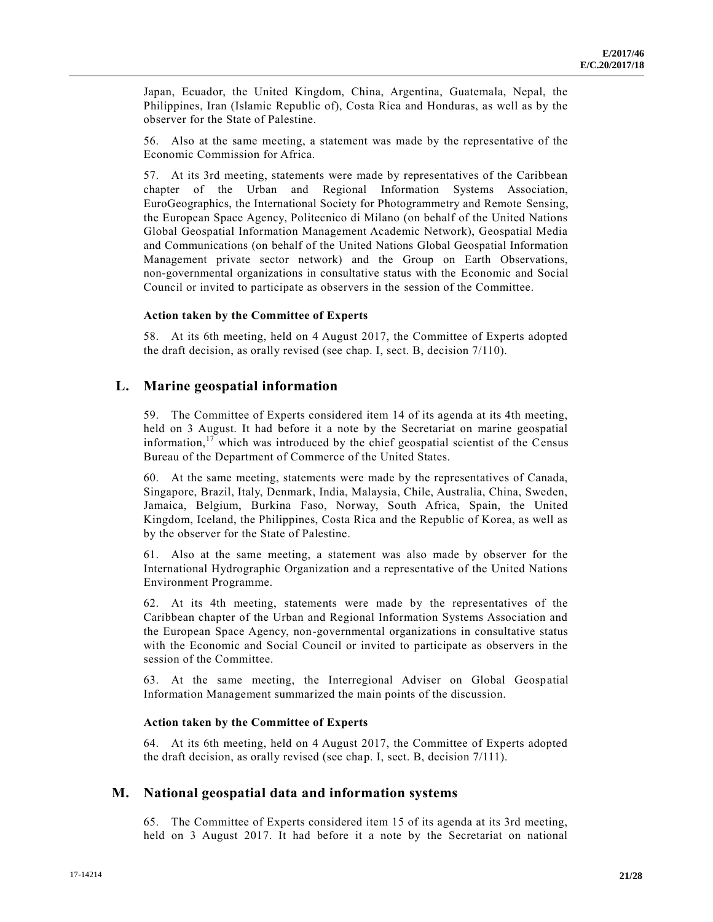Japan, Ecuador, the United Kingdom, China, Argentina, Guatemala, Nepal, the Philippines, Iran (Islamic Republic of), Costa Rica and Honduras, as well as by the observer for the State of Palestine.

56. Also at the same meeting, a statement was made by the representative of the Economic Commission for Africa.

57. At its 3rd meeting, statements were made by representatives of the Caribbean chapter of the Urban and Regional Information Systems Association, EuroGeographics, the International Society for Photogrammetry and Remote Sensing, the European Space Agency, Politecnico di Milano (on behalf of the United Nations Global Geospatial Information Management Academic Network), Geospatial Media and Communications (on behalf of the United Nations Global Geospatial Information Management private sector network) and the Group on Earth Observations, non-governmental organizations in consultative status with the Economic and Social Council or invited to participate as observers in the session of the Committee.

#### **Action taken by the Committee of Experts**

58. At its 6th meeting, held on 4 August 2017, the Committee of Experts adopted the draft decision, as orally revised (see chap. I, sect. B, decision 7/110).

#### **L. Marine geospatial information**

59. The Committee of Experts considered item 14 of its agenda at its 4th meeting, held on 3 August. It had before it a note by the Secretariat on marine geospatial information, $17$  which was introduced by the chief geospatial scientist of the Census Bureau of the Department of Commerce of the United States.

60. At the same meeting, statements were made by the representatives of Canada, Singapore, Brazil, Italy, Denmark, India, Malaysia, Chile, Australia, China, Sweden, Jamaica, Belgium, Burkina Faso, Norway, South Africa, Spain, the United Kingdom, Iceland, the Philippines, Costa Rica and the Republic of Korea, as well as by the observer for the State of Palestine.

61. Also at the same meeting, a statement was also made by observer for the International Hydrographic Organization and a representative of the United Nations Environment Programme.

62. At its 4th meeting, statements were made by the representatives of the Caribbean chapter of the Urban and Regional Information Systems Association and the European Space Agency, non-governmental organizations in consultative status with the Economic and Social Council or invited to participate as observers in the session of the Committee.

63. At the same meeting, the Interregional Adviser on Global Geospatial Information Management summarized the main points of the discussion.

#### **Action taken by the Committee of Experts**

64. At its 6th meeting, held on 4 August 2017, the Committee of Experts adopted the draft decision, as orally revised (see chap. I, sect. B, decision 7/111).

### **M. National geospatial data and information systems**

65. The Committee of Experts considered item 15 of its agenda at its 3rd meeting, held on 3 August 2017. It had before it a note by the Secretariat on national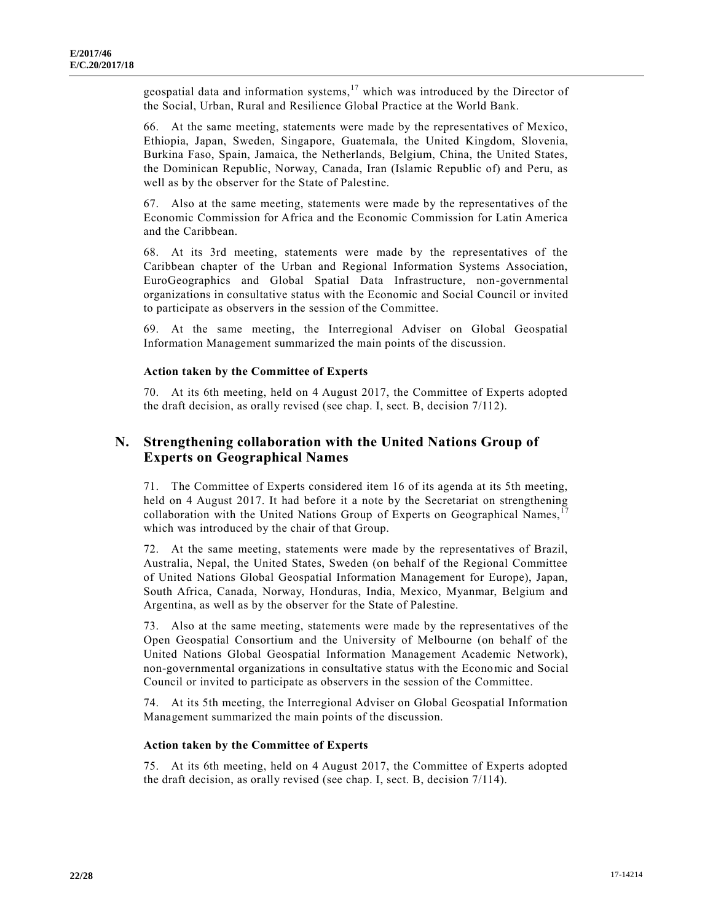geospatial data and information systems, $17$  which was introduced by the Director of the Social, Urban, Rural and Resilience Global Practice at the World Bank.

66. At the same meeting, statements were made by the representatives of Mexico, Ethiopia, Japan, Sweden, Singapore, Guatemala, the United Kingdom, Slovenia, Burkina Faso, Spain, Jamaica, the Netherlands, Belgium, China, the United States, the Dominican Republic, Norway, Canada, Iran (Islamic Republic of) and Peru, as well as by the observer for the State of Palestine.

67. Also at the same meeting, statements were made by the representatives of the Economic Commission for Africa and the Economic Commission for Latin America and the Caribbean.

68. At its 3rd meeting, statements were made by the representatives of the Caribbean chapter of the Urban and Regional Information Systems Association, EuroGeographics and Global Spatial Data Infrastructure, non-governmental organizations in consultative status with the Economic and Social Council or invited to participate as observers in the session of the Committee.

69. At the same meeting, the Interregional Adviser on Global Geospatial Information Management summarized the main points of the discussion.

#### **Action taken by the Committee of Experts**

70. At its 6th meeting, held on 4 August 2017, the Committee of Experts adopted the draft decision, as orally revised (see chap. I, sect. B, decision 7/112).

# **N. Strengthening collaboration with the United Nations Group of Experts on Geographical Names**

71. The Committee of Experts considered item 16 of its agenda at its 5th meeting, held on 4 August 2017. It had before it a note by the Secretariat on strengthening collaboration with the United Nations Group of Experts on Geographical Names, which was introduced by the chair of that Group.

72. At the same meeting, statements were made by the representatives of Brazil, Australia, Nepal, the United States, Sweden (on behalf of the Regional Committee of United Nations Global Geospatial Information Management for Europe), Japan, South Africa, Canada, Norway, Honduras, India, Mexico, Myanmar, Belgium and Argentina, as well as by the observer for the State of Palestine.

73. Also at the same meeting, statements were made by the representatives of the Open Geospatial Consortium and the University of Melbourne (on behalf of the United Nations Global Geospatial Information Management Academic Network), non-governmental organizations in consultative status with the Economic and Social Council or invited to participate as observers in the session of the Committee.

74. At its 5th meeting, the Interregional Adviser on Global Geospatial Information Management summarized the main points of the discussion.

#### **Action taken by the Committee of Experts**

75. At its 6th meeting, held on 4 August 2017, the Committee of Experts adopted the draft decision, as orally revised (see chap. I, sect. B, decision 7/114).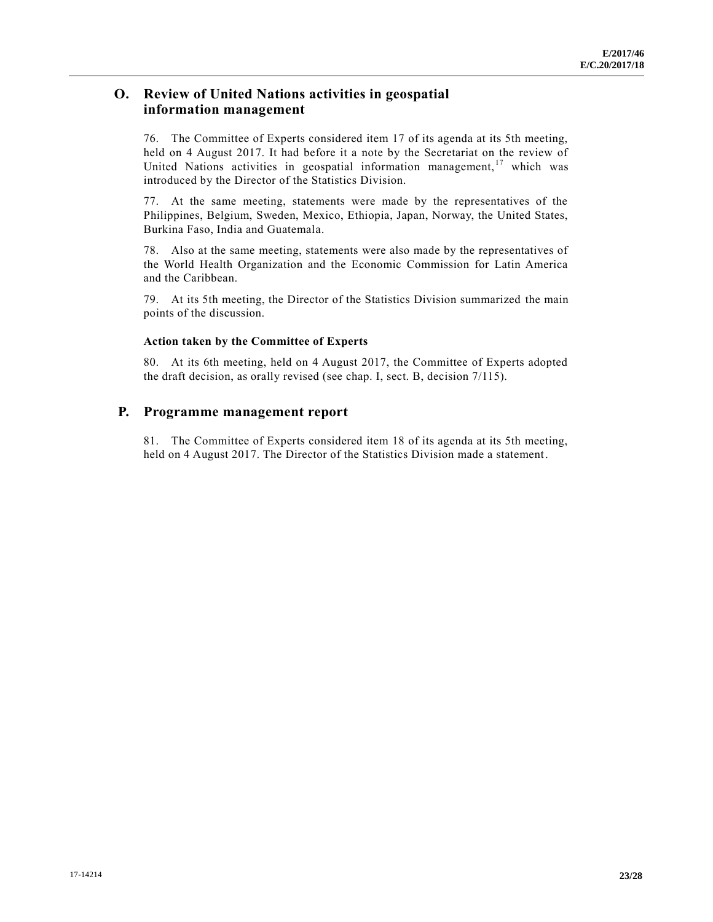# **O. Review of United Nations activities in geospatial information management**

76. The Committee of Experts considered item 17 of its agenda at its 5th meeting, held on 4 August 2017. It had before it a note by the Secretariat on the review of United Nations activities in geospatial information management,  $17$  which was introduced by the Director of the Statistics Division.

77. At the same meeting, statements were made by the representatives of the Philippines, Belgium, Sweden, Mexico, Ethiopia, Japan, Norway, the United States, Burkina Faso, India and Guatemala.

78. Also at the same meeting, statements were also made by the representatives of the World Health Organization and the Economic Commission for Latin America and the Caribbean.

79. At its 5th meeting, the Director of the Statistics Division summarized the main points of the discussion.

#### **Action taken by the Committee of Experts**

80. At its 6th meeting, held on 4 August 2017, the Committee of Experts adopted the draft decision, as orally revised (see chap. I, sect. B, decision 7/115).

# **P. Programme management report**

81. The Committee of Experts considered item 18 of its agenda at its 5th meeting, held on 4 August 2017. The Director of the Statistics Division made a statement.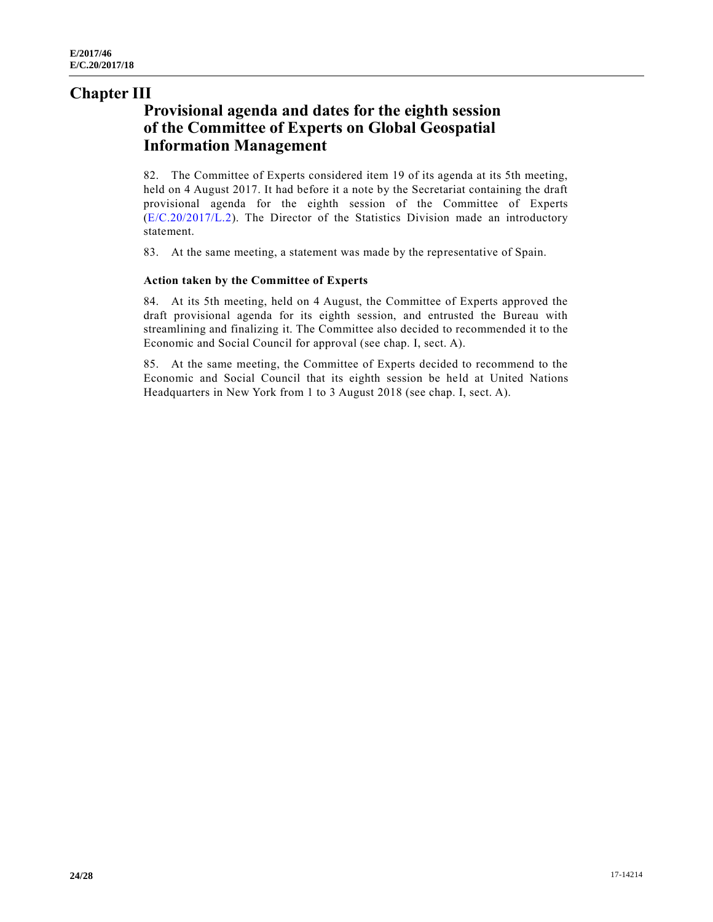# **Chapter III**

# **Provisional agenda and dates for the eighth session of the Committee of Experts on Global Geospatial Information Management**

82. The Committee of Experts considered item 19 of its agenda at its 5th meeting, held on 4 August 2017. It had before it a note by the Secretariat containing the draft provisional agenda for the eighth session of the Committee of Experts [\(E/C.20/2017/L.2\)](https://undocs.org/E/C.20/2017/L.2). The Director of the Statistics Division made an introductory statement.

83. At the same meeting, a statement was made by the representative of Spain.

#### **Action taken by the Committee of Experts**

84. At its 5th meeting, held on 4 August, the Committee of Experts approved the draft provisional agenda for its eighth session, and entrusted the Bureau with streamlining and finalizing it. The Committee also decided to recommended it to the Economic and Social Council for approval (see chap. I, sect. A).

85. At the same meeting, the Committee of Experts decided to recommend to the Economic and Social Council that its eighth session be held at United Nations Headquarters in New York from 1 to 3 August 2018 (see chap. I, sect. A).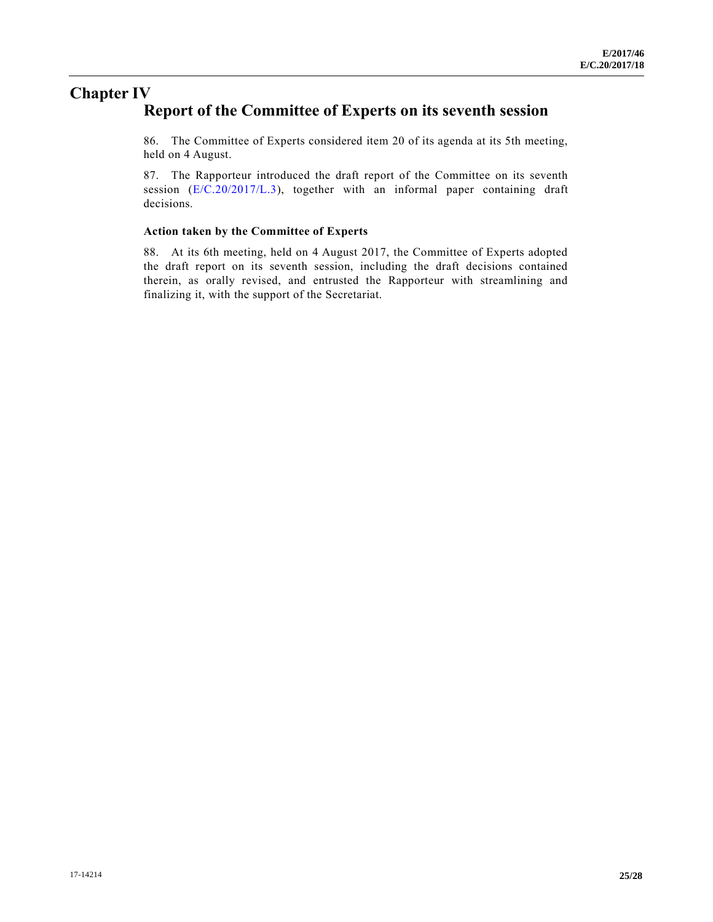# **Chapter IV Report of the Committee of Experts on its seventh session**

86. The Committee of Experts considered item 20 of its agenda at its 5th meeting, held on 4 August.

87. The Rapporteur introduced the draft report of the Committee on its seventh session [\(E/C.20/2017/L.3\)](https://undocs.org/E/C.20/2017/L.3), together with an informal paper containing draft decisions.

#### **Action taken by the Committee of Experts**

88. At its 6th meeting, held on 4 August 2017, the Committee of Experts adopted the draft report on its seventh session, including the draft decisions contained therein, as orally revised, and entrusted the Rapporteur with streamlining and finalizing it, with the support of the Secretariat.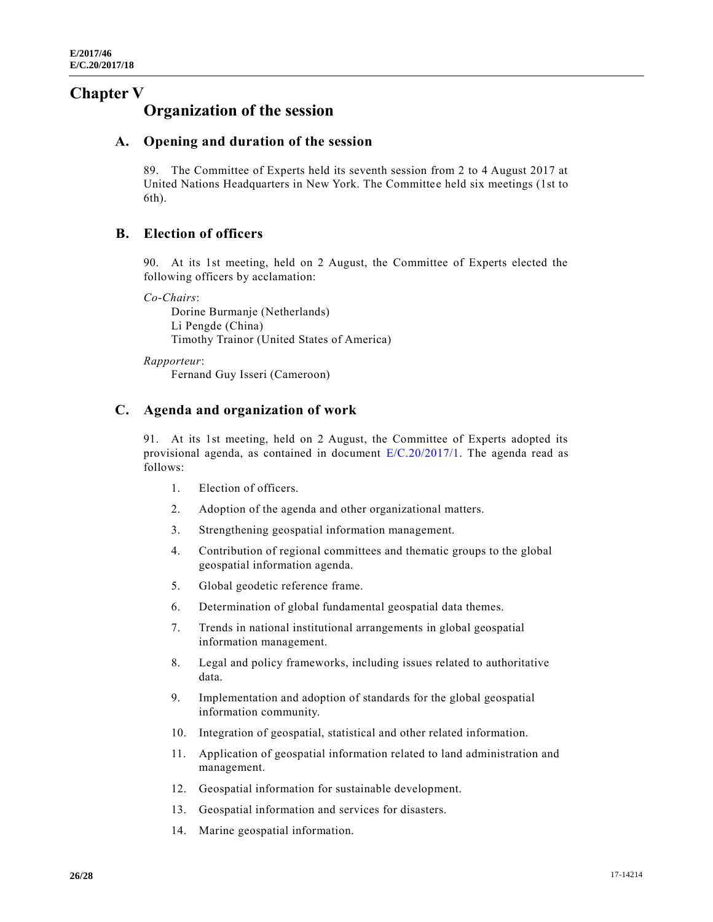# **Chapter V**

# **Organization of the session**

# **A. Opening and duration of the session**

89. The Committee of Experts held its seventh session from 2 to 4 August 2017 at United Nations Headquarters in New York. The Committee held six meetings (1st to 6th).

# **B. Election of officers**

90. At its 1st meeting, held on 2 August, the Committee of Experts elected the following officers by acclamation:

*Co-Chairs*:

Dorine Burmanje (Netherlands) Li Pengde (China) Timothy Trainor (United States of America)

*Rapporteur*:

Fernand Guy Isseri (Cameroon)

# **C. Agenda and organization of work**

91. At its 1st meeting, held on 2 August, the Committee of Experts adopted its provisional agenda, as contained in document [E/C.20/2017/1.](https://undocs.org/E/C.20/2017/1) The agenda read as follows:

- 1. Election of officers.
- 2. Adoption of the agenda and other organizational matters.
- 3. Strengthening geospatial information management.
- 4. Contribution of regional committees and thematic groups to the global geospatial information agenda.
- 5. Global geodetic reference frame.
- 6. Determination of global fundamental geospatial data themes.
- 7. Trends in national institutional arrangements in global geospatial information management.
- 8. Legal and policy frameworks, including issues related to authoritative data.
- 9. Implementation and adoption of standards for the global geospatial information community.
- 10. Integration of geospatial, statistical and other related information.
- 11. Application of geospatial information related to land administration and management.
- 12. Geospatial information for sustainable development.
- 13. Geospatial information and services for disasters.
- 14. Marine geospatial information.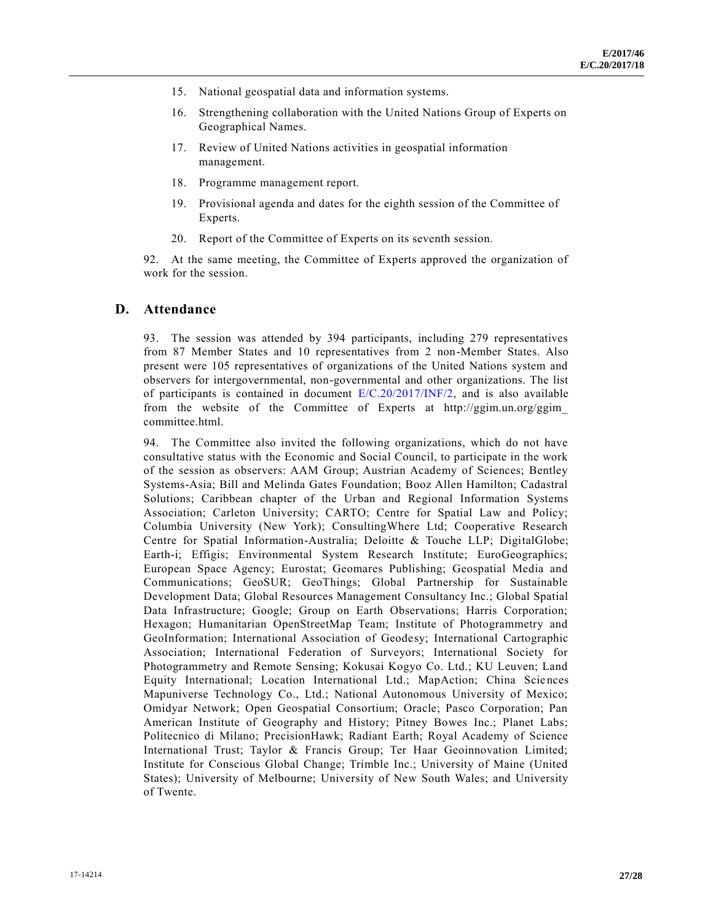- 15. National geospatial data and information systems.
- 16. Strengthening collaboration with the United Nations Group of Experts on Geographical Names.
- 17. Review of United Nations activities in geospatial information management.
- 18. Programme management report.
- 19. Provisional agenda and dates for the eighth session of the Committee of Experts.
- 20. Report of the Committee of Experts on its seventh session.

92. At the same meeting, the Committee of Experts approved the organization of work for the session.

#### **D. Attendance**

93. The session was attended by 394 participants, including 279 representatives from 87 Member States and 10 representatives from 2 non-Member States. Also present were 105 representatives of organizations of the United Nations system and observers for intergovernmental, non-governmental and other organizations. The list of participants is contained in document  $E/C.20/2017/INF/2$ , and is also available from the website of the Committee of Experts at http://ggim.un.org/ggim\_ committee.html.

94. The Committee also invited the following organizations, which do not have consultative status with the Economic and Social Council, to participate in the work of the session as observers: AAM Group; Austrian Academy of Sciences; Bentley Systems-Asia; Bill and Melinda Gates Foundation; Booz Allen Hamilton; Cadastral Solutions; Caribbean chapter of the Urban and Regional Information Systems Association; Carleton University; CARTO; Centre for Spatial Law and Policy; Columbia University (New York); ConsultingWhere Ltd; Cooperative Research Centre for Spatial Information-Australia; Deloitte & Touche LLP; DigitalGlobe; Earth-i; Effigis; Environmental System Research Institute; EuroGeographics; European Space Agency; Eurostat; Geomares Publishing; Geospatial Media and Communications; GeoSUR; GeoThings; Global Partnership for Sustainable Development Data; Global Resources Management Consultancy Inc.; Global Spatial Data Infrastructure; Google; Group on Earth Observations; Harris Corporation; Hexagon; Humanitarian OpenStreetMap Team; Institute of Photogrammetry and GeoInformation; International Association of Geodesy; International Cartographic Association; International Federation of Surveyors; International Society for Photogrammetry and Remote Sensing; Kokusai Kogyo Co. Ltd.; KU Leuven; Land Equity International; Location International Ltd.; MapAction; China Sciences Mapuniverse Technology Co., Ltd.; National Autonomous University of Mexico; Omidyar Network; Open Geospatial Consortium; Oracle; Pasco Corporation; Pan American Institute of Geography and History; Pitney Bowes Inc.; Planet Labs; Politecnico di Milano; PrecisionHawk; Radiant Earth; Royal Academy of Science International Trust; Taylor & Francis Group; Ter Haar Geoinnovation Limited; Institute for Conscious Global Change; Trimble Inc.; University of Maine (United States); University of Melbourne; University of New South Wales; and University of Twente.